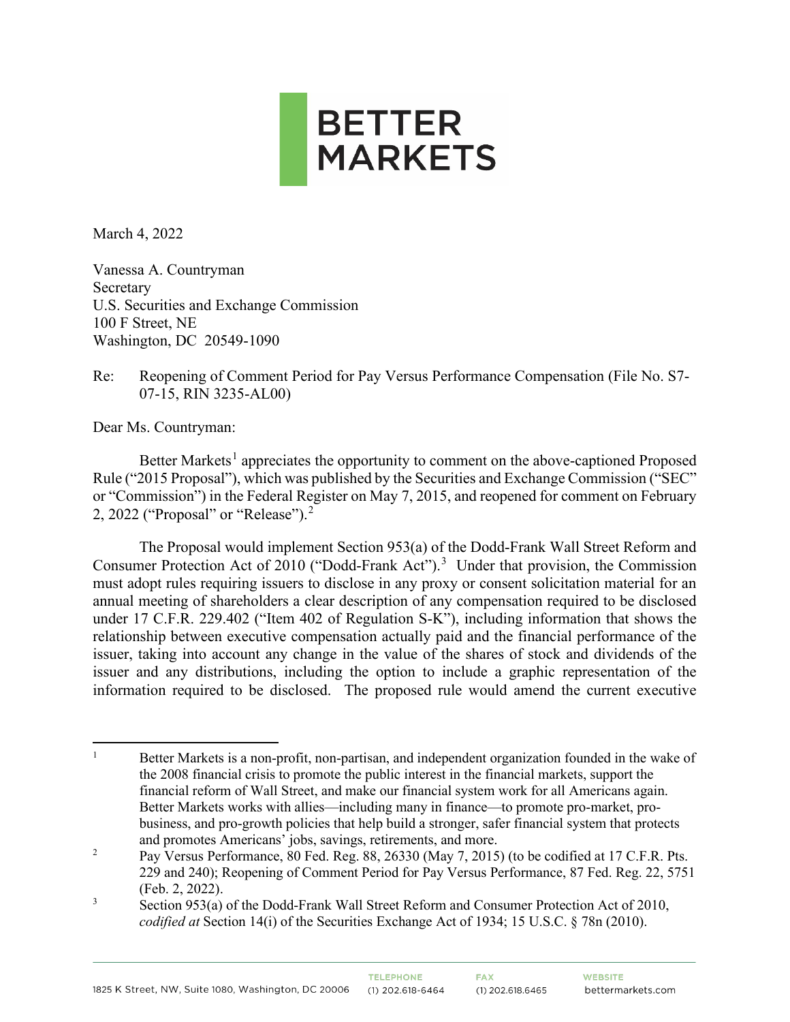

March 4, 2022

Vanessa A. Countryman Secretary U.S. Securities and Exchange Commission 100 F Street, NE Washington, DC 20549-1090

Re: Reopening of Comment Period for Pay Versus Performance Compensation (File No. S7- 07-15, RIN 3235-AL00)

Dear Ms. Countryman:

Better Markets<sup>[1](#page-0-0)</sup> appreciates the opportunity to comment on the above-captioned Proposed Rule ("2015 Proposal"), which was published by the Securities and Exchange Commission ("SEC" or "Commission") in the Federal Register on May 7, 2015, and reopened for comment on February [2](#page-0-1), 2022 ("Proposal" or "Release").<sup>2</sup>

The Proposal would implement Section 953(a) of the Dodd-Frank Wall Street Reform and Consumer Protection Act of 2010 ("Dodd-Frank Act").<sup>[3](#page-0-2)</sup> Under that provision, the Commission must adopt rules requiring issuers to disclose in any proxy or consent solicitation material for an annual meeting of shareholders a clear description of any compensation required to be disclosed under 17 C.F.R. 229.402 ("Item 402 of Regulation S-K"), including information that shows the relationship between executive compensation actually paid and the financial performance of the issuer, taking into account any change in the value of the shares of stock and dividends of the issuer and any distributions, including the option to include a graphic representation of the information required to be disclosed. The proposed rule would amend the current executive

<span id="page-0-0"></span><sup>&</sup>lt;sup>1</sup> Better Markets is a non-profit, non-partisan, and independent organization founded in the wake of the 2008 financial crisis to promote the public interest in the financial markets, support the financial reform of Wall Street, and make our financial system work for all Americans again. Better Markets works with allies—including many in finance—to promote pro-market, probusiness, and pro-growth policies that help build a stronger, safer financial system that protects and promotes Americans' jobs, savings, retirements, and more.

<span id="page-0-1"></span><sup>&</sup>lt;sup>2</sup> Pay Versus Performance, 80 Fed. Reg. 88, 26330 (May 7, 2015) (to be codified at 17 C.F.R. Pts. 229 and 240); Reopening of Comment Period for Pay Versus Performance, 87 Fed. Reg. 22, 5751 (Feb. 2, 2022).

<span id="page-0-2"></span><sup>&</sup>lt;sup>3</sup> Section 953(a) of the Dodd-Frank Wall Street Reform and Consumer Protection Act of 2010, *codified at* Section 14(i) of the Securities Exchange Act of 1934; 15 U.S.C. § 78n (2010).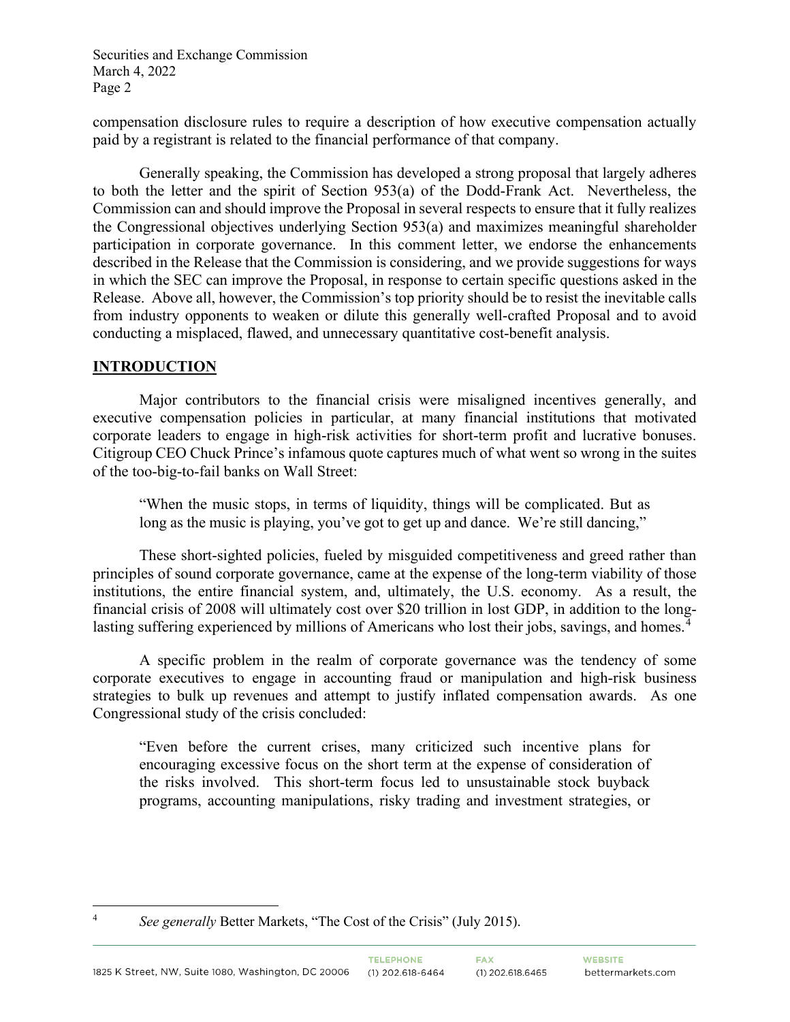compensation disclosure rules to require a description of how executive compensation actually paid by a registrant is related to the financial performance of that company.

Generally speaking, the Commission has developed a strong proposal that largely adheres to both the letter and the spirit of Section 953(a) of the Dodd-Frank Act. Nevertheless, the Commission can and should improve the Proposal in several respects to ensure that it fully realizes the Congressional objectives underlying Section 953(a) and maximizes meaningful shareholder participation in corporate governance. In this comment letter, we endorse the enhancements described in the Release that the Commission is considering, and we provide suggestions for ways in which the SEC can improve the Proposal, in response to certain specific questions asked in the Release. Above all, however, the Commission's top priority should be to resist the inevitable calls from industry opponents to weaken or dilute this generally well-crafted Proposal and to avoid conducting a misplaced, flawed, and unnecessary quantitative cost-benefit analysis.

#### **INTRODUCTION**

Major contributors to the financial crisis were misaligned incentives generally, and executive compensation policies in particular, at many financial institutions that motivated corporate leaders to engage in high-risk activities for short-term profit and lucrative bonuses. Citigroup CEO Chuck Prince's infamous quote captures much of what went so wrong in the suites of the too-big-to-fail banks on Wall Street:

"When the music stops, in terms of liquidity, things will be complicated. But as long as the music is playing, you've got to get up and dance. We're still dancing,"

These short-sighted policies, fueled by misguided competitiveness and greed rather than principles of sound corporate governance, came at the expense of the long-term viability of those institutions, the entire financial system, and, ultimately, the U.S. economy. As a result, the financial crisis of 2008 will ultimately cost over \$20 trillion in lost GDP, in addition to the long-lasting suffering experienced by millions of Americans who lost their jobs, savings, and homes.<sup>[4](#page-1-0)</sup>

A specific problem in the realm of corporate governance was the tendency of some corporate executives to engage in accounting fraud or manipulation and high-risk business strategies to bulk up revenues and attempt to justify inflated compensation awards. As one Congressional study of the crisis concluded:

"Even before the current crises, many criticized such incentive plans for encouraging excessive focus on the short term at the expense of consideration of the risks involved. This short-term focus led to unsustainable stock buyback programs, accounting manipulations, risky trading and investment strategies, or

<span id="page-1-0"></span><sup>4</sup> *See generally* Better Markets, "The Cost of the Crisis" (July 2015).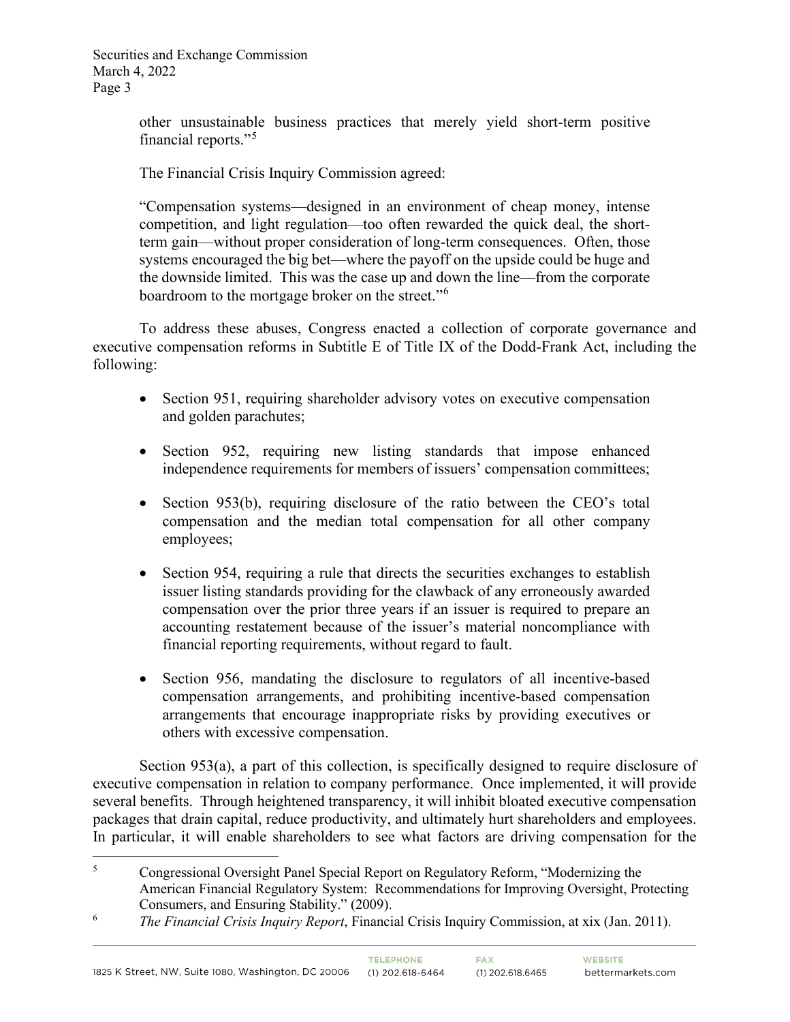> other unsustainable business practices that merely yield short-term positive financial reports."<sup>[5](#page-2-0)</sup>

The Financial Crisis Inquiry Commission agreed:

"Compensation systems—designed in an environment of cheap money, intense competition, and light regulation—too often rewarded the quick deal, the shortterm gain—without proper consideration of long-term consequences. Often, those systems encouraged the big bet—where the payoff on the upside could be huge and the downside limited. This was the case up and down the line—from the corporate boardroom to the mortgage broker on the street."<sup>[6](#page-2-1)</sup>

To address these abuses, Congress enacted a collection of corporate governance and executive compensation reforms in Subtitle E of Title IX of the Dodd-Frank Act, including the following:

- Section 951, requiring shareholder advisory votes on executive compensation and golden parachutes;
- Section 952, requiring new listing standards that impose enhanced independence requirements for members of issuers' compensation committees;
- Section 953(b), requiring disclosure of the ratio between the CEO's total compensation and the median total compensation for all other company employees;
- Section 954, requiring a rule that directs the securities exchanges to establish issuer listing standards providing for the clawback of any erroneously awarded compensation over the prior three years if an issuer is required to prepare an accounting restatement because of the issuer's material noncompliance with financial reporting requirements, without regard to fault.
- Section 956, mandating the disclosure to regulators of all incentive-based compensation arrangements, and prohibiting incentive-based compensation arrangements that encourage inappropriate risks by providing executives or others with excessive compensation.

Section 953(a), a part of this collection, is specifically designed to require disclosure of executive compensation in relation to company performance. Once implemented, it will provide several benefits. Through heightened transparency, it will inhibit bloated executive compensation packages that drain capital, reduce productivity, and ultimately hurt shareholders and employees. In particular, it will enable shareholders to see what factors are driving compensation for the

<span id="page-2-0"></span><sup>5</sup> Congressional Oversight Panel Special Report on Regulatory Reform, "Modernizing the American Financial Regulatory System: Recommendations for Improving Oversight, Protecting Consumers, and Ensuring Stability." (2009).

<span id="page-2-1"></span><sup>6</sup> *The Financial Crisis Inquiry Report*, Financial Crisis Inquiry Commission, at xix (Jan. 2011).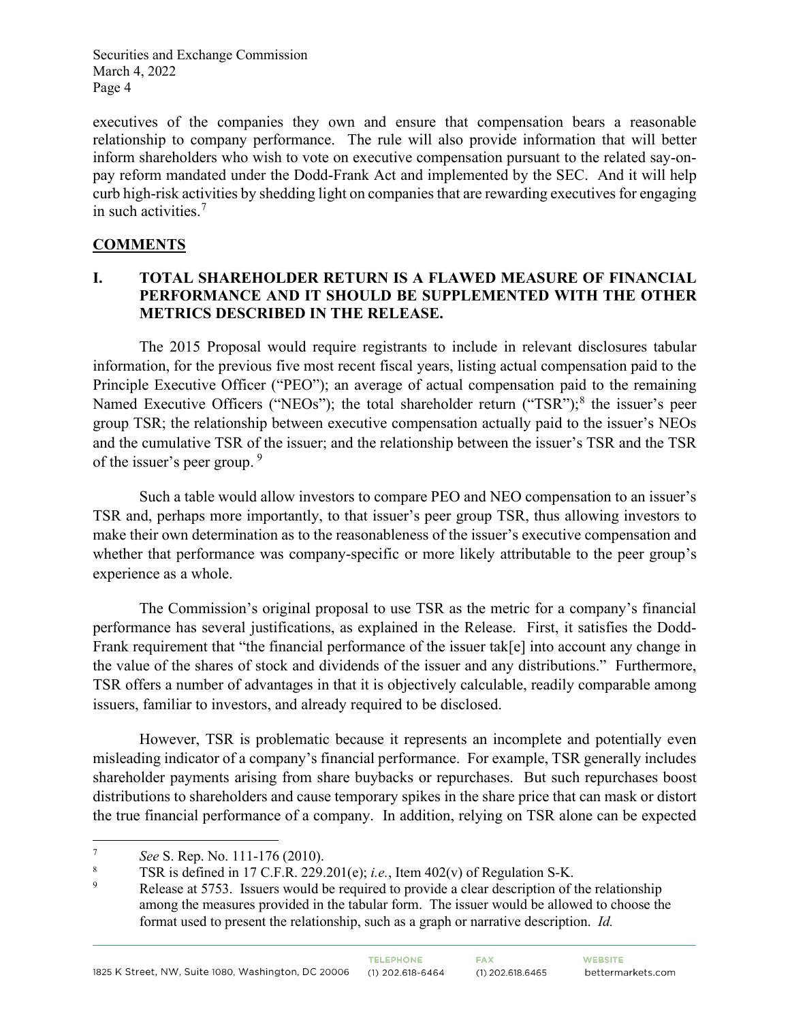executives of the companies they own and ensure that compensation bears a reasonable relationship to company performance. The rule will also provide information that will better inform shareholders who wish to vote on executive compensation pursuant to the related say-onpay reform mandated under the Dodd-Frank Act and implemented by the SEC. And it will help curb high-risk activities by shedding light on companies that are rewarding executives for engaging in such activities. [7](#page-3-0)

# **COMMENTS**

### **I. TOTAL SHAREHOLDER RETURN IS A FLAWED MEASURE OF FINANCIAL PERFORMANCE AND IT SHOULD BE SUPPLEMENTED WITH THE OTHER METRICS DESCRIBED IN THE RELEASE.**

The 2015 Proposal would require registrants to include in relevant disclosures tabular information, for the previous five most recent fiscal years, listing actual compensation paid to the Principle Executive Officer ("PEO"); an average of actual compensation paid to the remaining Named Executive Officers ("NEOs"); the total shareholder return ("TSR");<sup>[8](#page-3-1)</sup> the issuer's peer group TSR; the relationship between executive compensation actually paid to the issuer's NEOs and the cumulative TSR of the issuer; and the relationship between the issuer's TSR and the TSR of the issuer's peer group. <sup>[9](#page-3-2)</sup>

Such a table would allow investors to compare PEO and NEO compensation to an issuer's TSR and, perhaps more importantly, to that issuer's peer group TSR, thus allowing investors to make their own determination as to the reasonableness of the issuer's executive compensation and whether that performance was company-specific or more likely attributable to the peer group's experience as a whole.

The Commission's original proposal to use TSR as the metric for a company's financial performance has several justifications, as explained in the Release. First, it satisfies the Dodd-Frank requirement that "the financial performance of the issuer tak[e] into account any change in the value of the shares of stock and dividends of the issuer and any distributions." Furthermore, TSR offers a number of advantages in that it is objectively calculable, readily comparable among issuers, familiar to investors, and already required to be disclosed.

However, TSR is problematic because it represents an incomplete and potentially even misleading indicator of a company's financial performance. For example, TSR generally includes shareholder payments arising from share buybacks or repurchases. But such repurchases boost distributions to shareholders and cause temporary spikes in the share price that can mask or distort the true financial performance of a company. In addition, relying on TSR alone can be expected

<span id="page-3-1"></span><span id="page-3-0"></span><sup>&</sup>lt;sup>7</sup> *See* S. Rep. No. 111-176 (2010).<br><sup>8</sup> TSR is defined in 17 C.F.R. 229.201(e); *i.e.*, Item 402(v) of Regulation S-K.

<span id="page-3-2"></span>Release at 5753. Issuers would be required to provide a clear description of the relationship among the measures provided in the tabular form. The issuer would be allowed to choose the format used to present the relationship, such as a graph or narrative description. *Id.*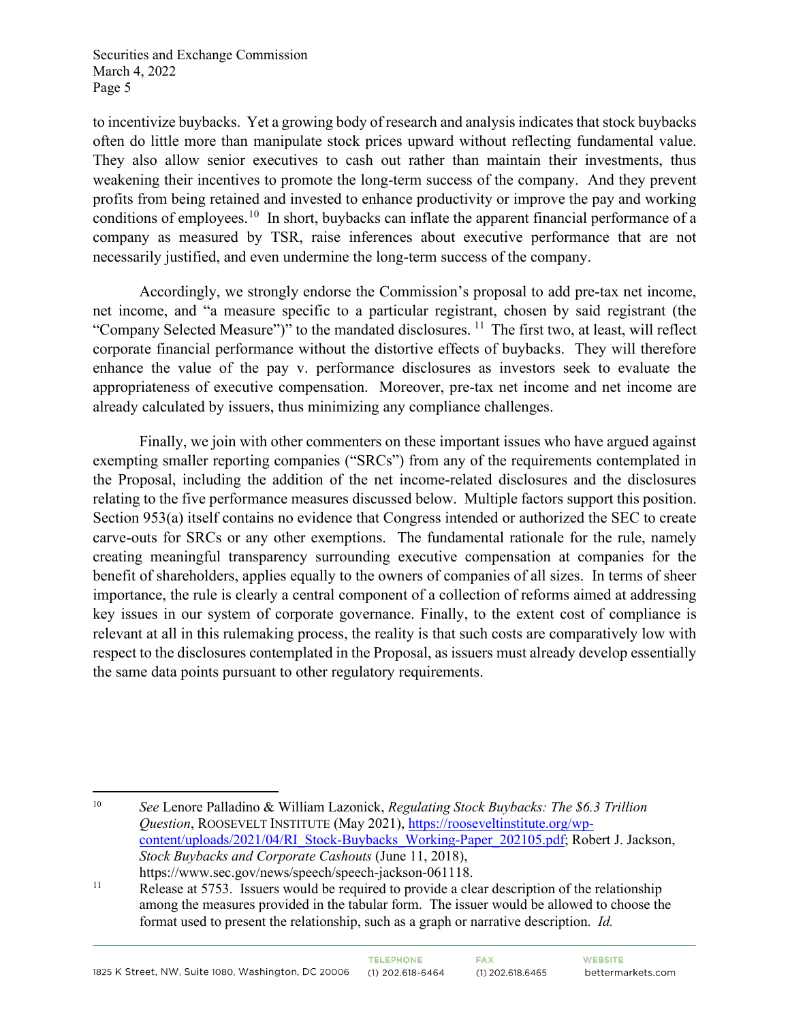to incentivize buybacks. Yet a growing body of research and analysis indicates that stock buybacks often do little more than manipulate stock prices upward without reflecting fundamental value. They also allow senior executives to cash out rather than maintain their investments, thus weakening their incentives to promote the long-term success of the company. And they prevent profits from being retained and invested to enhance productivity or improve the pay and working conditions of employees.<sup>[10](#page-4-0)</sup> In short, buybacks can inflate the apparent financial performance of a company as measured by TSR, raise inferences about executive performance that are not necessarily justified, and even undermine the long-term success of the company.

Accordingly, we strongly endorse the Commission's proposal to add pre-tax net income, net income, and "a measure specific to a particular registrant, chosen by said registrant (the "Company Selected Measure")" to the mandated disclosures.  $^{11}$  $^{11}$  $^{11}$  The first two, at least, will reflect corporate financial performance without the distortive effects of buybacks. They will therefore enhance the value of the pay v. performance disclosures as investors seek to evaluate the appropriateness of executive compensation. Moreover, pre-tax net income and net income are already calculated by issuers, thus minimizing any compliance challenges.

Finally, we join with other commenters on these important issues who have argued against exempting smaller reporting companies ("SRCs") from any of the requirements contemplated in the Proposal, including the addition of the net income-related disclosures and the disclosures relating to the five performance measures discussed below. Multiple factors support this position. Section 953(a) itself contains no evidence that Congress intended or authorized the SEC to create carve-outs for SRCs or any other exemptions. The fundamental rationale for the rule, namely creating meaningful transparency surrounding executive compensation at companies for the benefit of shareholders, applies equally to the owners of companies of all sizes. In terms of sheer importance, the rule is clearly a central component of a collection of reforms aimed at addressing key issues in our system of corporate governance. Finally, to the extent cost of compliance is relevant at all in this rulemaking process, the reality is that such costs are comparatively low with respect to the disclosures contemplated in the Proposal, as issuers must already develop essentially the same data points pursuant to other regulatory requirements.

<span id="page-4-0"></span><sup>10</sup> *See* Lenore Palladino & William Lazonick, *Regulating Stock Buybacks: The \$6.3 Trillion Question*, ROOSEVELT INSTITUTE (May 2021), [https://rooseveltinstitute.org/wp](https://rooseveltinstitute.org/wp-content/uploads/2021/04/RI_Stock-Buybacks_Working-Paper_202105.pdf)[content/uploads/2021/04/RI\\_Stock-Buybacks\\_Working-Paper\\_202105.pdf;](https://rooseveltinstitute.org/wp-content/uploads/2021/04/RI_Stock-Buybacks_Working-Paper_202105.pdf) Robert J. Jackson, *Stock Buybacks and Corporate Cashouts* (June 11, 2018), https://www.sec.gov/news/speech/speech-jackson-061118.

<span id="page-4-1"></span><sup>&</sup>lt;sup>11</sup> Release at 5753. Issuers would be required to provide a clear description of the relationship among the measures provided in the tabular form. The issuer would be allowed to choose the format used to present the relationship, such as a graph or narrative description. *Id.*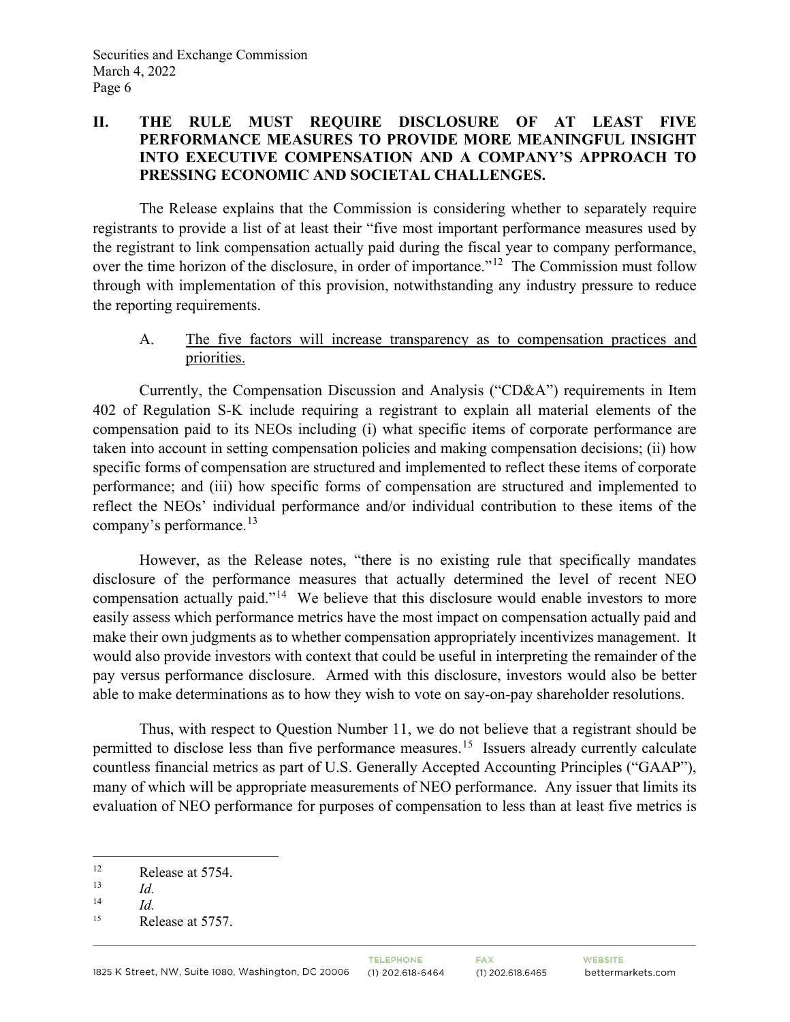### **II. THE RULE MUST REQUIRE DISCLOSURE OF AT LEAST FIVE PERFORMANCE MEASURES TO PROVIDE MORE MEANINGFUL INSIGHT INTO EXECUTIVE COMPENSATION AND A COMPANY'S APPROACH TO PRESSING ECONOMIC AND SOCIETAL CHALLENGES.**

The Release explains that the Commission is considering whether to separately require registrants to provide a list of at least their "five most important performance measures used by the registrant to link compensation actually paid during the fiscal year to company performance, over the time horizon of the disclosure, in order of importance."<sup>[12](#page-5-0)</sup> The Commission must follow through with implementation of this provision, notwithstanding any industry pressure to reduce the reporting requirements.

## A. The five factors will increase transparency as to compensation practices and priorities.

Currently, the Compensation Discussion and Analysis ("CD&A") requirements in Item 402 of Regulation S-K include requiring a registrant to explain all material elements of the compensation paid to its NEOs including (i) what specific items of corporate performance are taken into account in setting compensation policies and making compensation decisions; (ii) how specific forms of compensation are structured and implemented to reflect these items of corporate performance; and (iii) how specific forms of compensation are structured and implemented to reflect the NEOs' individual performance and/or individual contribution to these items of the company's performance.[13](#page-5-1) 

However, as the Release notes, "there is no existing rule that specifically mandates disclosure of the performance measures that actually determined the level of recent NEO compensation actually paid."[14](#page-5-2) We believe that this disclosure would enable investors to more easily assess which performance metrics have the most impact on compensation actually paid and make their own judgments as to whether compensation appropriately incentivizes management. It would also provide investors with context that could be useful in interpreting the remainder of the pay versus performance disclosure. Armed with this disclosure, investors would also be better able to make determinations as to how they wish to vote on say-on-pay shareholder resolutions.

Thus, with respect to Question Number 11, we do not believe that a registrant should be permitted to disclose less than five performance measures.<sup>15</sup> Issuers already currently calculate countless financial metrics as part of U.S. Generally Accepted Accounting Principles ("GAAP"), many of which will be appropriate measurements of NEO performance. Any issuer that limits its evaluation of NEO performance for purposes of compensation to less than at least five metrics is

<span id="page-5-0"></span><sup>&</sup>lt;sup>12</sup> Release at 5754.

<span id="page-5-1"></span> $\frac{13}{14}$  *Id.* 

<span id="page-5-2"></span> $\frac{14}{15}$  *Id.* 

<span id="page-5-3"></span>Release at 5757.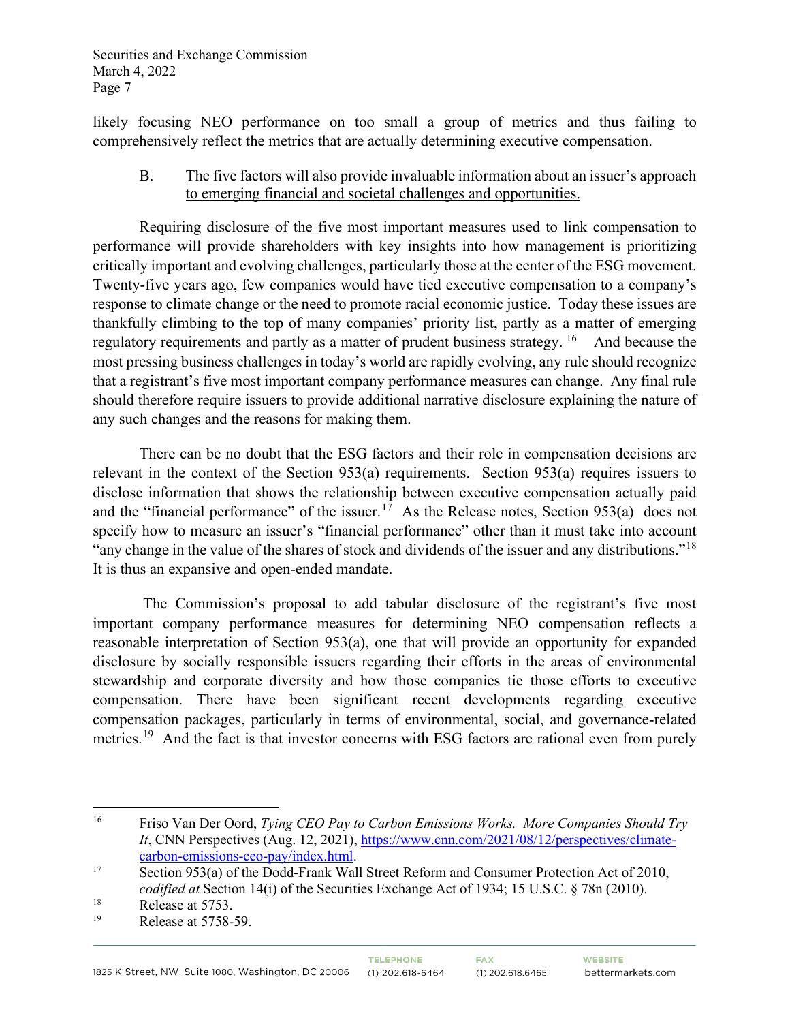likely focusing NEO performance on too small a group of metrics and thus failing to comprehensively reflect the metrics that are actually determining executive compensation.

### B. The five factors will also provide invaluable information about an issuer's approach to emerging financial and societal challenges and opportunities.

Requiring disclosure of the five most important measures used to link compensation to performance will provide shareholders with key insights into how management is prioritizing critically important and evolving challenges, particularly those at the center of the ESG movement. Twenty-five years ago, few companies would have tied executive compensation to a company's response to climate change or the need to promote racial economic justice. Today these issues are thankfully climbing to the top of many companies' priority list, partly as a matter of emerging regulatory requirements and partly as a matter of prudent business strategy. <sup>[16](#page-6-0)</sup> And because the most pressing business challenges in today's world are rapidly evolving, any rule should recognize that a registrant's five most important company performance measures can change. Any final rule should therefore require issuers to provide additional narrative disclosure explaining the nature of any such changes and the reasons for making them.

There can be no doubt that the ESG factors and their role in compensation decisions are relevant in the context of the Section 953(a) requirements. Section 953(a) requires issuers to disclose information that shows the relationship between executive compensation actually paid and the "financial performance" of the issuer.<sup>[17](#page-6-1)</sup> As the Release notes, Section 953(a) does not specify how to measure an issuer's "financial performance" other than it must take into account "any change in the value of the shares of stock and dividends of the issuer and any distributions."<sup>[18](#page-6-2)</sup> It is thus an expansive and open-ended mandate.

The Commission's proposal to add tabular disclosure of the registrant's five most important company performance measures for determining NEO compensation reflects a reasonable interpretation of Section 953(a), one that will provide an opportunity for expanded disclosure by socially responsible issuers regarding their efforts in the areas of environmental stewardship and corporate diversity and how those companies tie those efforts to executive compensation. There have been significant recent developments regarding executive compensation packages, particularly in terms of environmental, social, and governance-related metrics.<sup>[19](#page-6-3)</sup> And the fact is that investor concerns with ESG factors are rational even from purely

<span id="page-6-0"></span><sup>16</sup> Friso Van Der Oord, *Tying CEO Pay to Carbon Emissions Works. More Companies Should Try It*, CNN Perspectives (Aug. 12, 2021)[, https://www.cnn.com/2021/08/12/perspectives/climate](https://www.cnn.com/2021/08/12/perspectives/climate-carbon-emissions-ceo-pay/index.html)[carbon-emissions-ceo-pay/index.html.](https://www.cnn.com/2021/08/12/perspectives/climate-carbon-emissions-ceo-pay/index.html)<br>
17 Section 953(a) of the Dodd-Frank Wall Street Reform and Consumer Protection Act of 2010,

<span id="page-6-1"></span>*codified at* Section 14(i) of the Securities Exchange Act of 1934; 15 U.S.C. § 78n (2010).

<span id="page-6-2"></span><sup>&</sup>lt;sup>18</sup> Release at 5753.

<span id="page-6-3"></span>Release at 5758-59.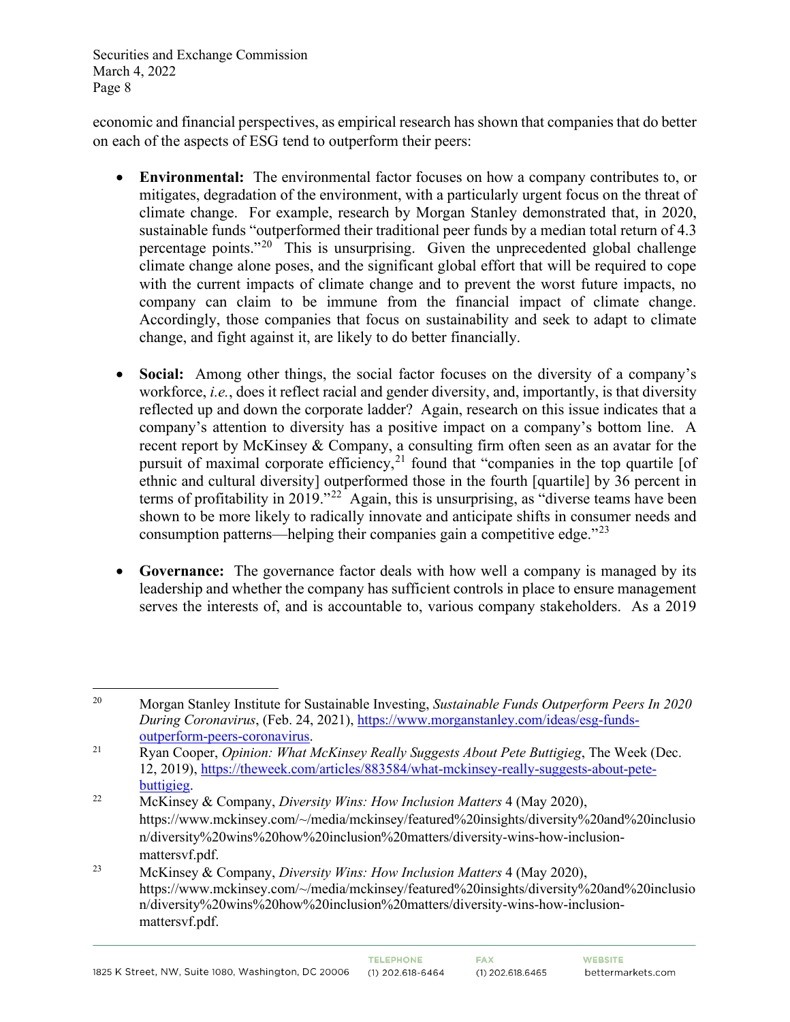economic and financial perspectives, as empirical research has shown that companies that do better on each of the aspects of ESG tend to outperform their peers:

- **Environmental:** The environmental factor focuses on how a company contributes to, or mitigates, degradation of the environment, with a particularly urgent focus on the threat of climate change. For example, research by Morgan Stanley demonstrated that, in 2020, sustainable funds "outperformed their traditional peer funds by a median total return of 4.3 percentage points."[20](#page-7-0) This is unsurprising. Given the unprecedented global challenge climate change alone poses, and the significant global effort that will be required to cope with the current impacts of climate change and to prevent the worst future impacts, no company can claim to be immune from the financial impact of climate change. Accordingly, those companies that focus on sustainability and seek to adapt to climate change, and fight against it, are likely to do better financially.
- **Social:** Among other things, the social factor focuses on the diversity of a company's workforce, *i.e.*, does it reflect racial and gender diversity, and, importantly, is that diversity reflected up and down the corporate ladder? Again, research on this issue indicates that a company's attention to diversity has a positive impact on a company's bottom line. A recent report by McKinsey & Company, a consulting firm often seen as an avatar for the pursuit of maximal corporate efficiency,<sup>[21](#page-7-1)</sup> found that "companies in the top quartile [of ethnic and cultural diversity] outperformed those in the fourth [quartile] by 36 percent in terms of profitability in 2019."<sup>22</sup> Again, this is unsurprising, as "diverse teams have been shown to be more likely to radically innovate and anticipate shifts in consumer needs and consumption patterns—helping their companies gain a competitive edge. $123$  $123$
- **Governance:** The governance factor deals with how well a company is managed by its leadership and whether the company has sufficient controls in place to ensure management serves the interests of, and is accountable to, various company stakeholders. As a 2019

<span id="page-7-0"></span><sup>20</sup> Morgan Stanley Institute for Sustainable Investing, *Sustainable Funds Outperform Peers In 2020 During Coronavirus*, (Feb. 24, 2021), [https://www.morganstanley.com/ideas/esg-funds](https://www.morganstanley.com/ideas/esg-funds-outperform-peers-coronavirus)[outperform-peers-coronavirus.](https://www.morganstanley.com/ideas/esg-funds-outperform-peers-coronavirus) 21 Ryan Cooper, *Opinion: What McKinsey Really Suggests About Pete Buttigieg*, The Week (Dec.

<span id="page-7-1"></span><sup>12, 2019),</sup> [https://theweek.com/articles/883584/what-mckinsey-really-suggests-about-pete-](https://theweek.com/articles/883584/what-mckinsey-really-suggests-about-pete-buttigieg)

<span id="page-7-2"></span>[buttigieg.](https://theweek.com/articles/883584/what-mckinsey-really-suggests-about-pete-buttigieg) 22 McKinsey & Company, *Diversity Wins: How Inclusion Matters* 4 (May 2020), https://www.mckinsey.com/~/media/mckinsey/featured%20insights/diversity%20and%20inclusio n/diversity%20wins%20how%20inclusion%20matters/diversity-wins-how-inclusionmattersvf.pdf.

<span id="page-7-3"></span><sup>23</sup> McKinsey & Company, *Diversity Wins: How Inclusion Matters* 4 (May 2020), https://www.mckinsey.com/~/media/mckinsey/featured%20insights/diversity%20and%20inclusio n/diversity%20wins%20how%20inclusion%20matters/diversity-wins-how-inclusionmattersvf.pdf.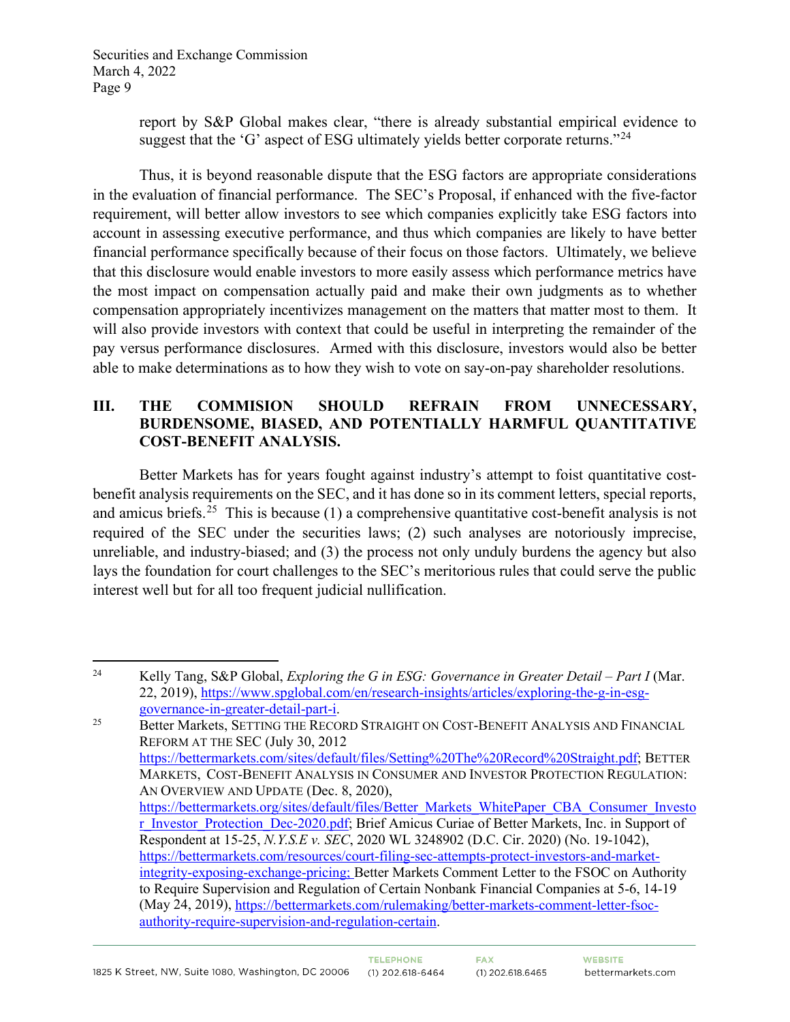report by S&P Global makes clear, "there is already substantial empirical evidence to suggest that the 'G' aspect of ESG ultimately yields better corporate returns."<sup>[24](#page-8-0)</sup>

Thus, it is beyond reasonable dispute that the ESG factors are appropriate considerations in the evaluation of financial performance. The SEC's Proposal, if enhanced with the five-factor requirement, will better allow investors to see which companies explicitly take ESG factors into account in assessing executive performance, and thus which companies are likely to have better financial performance specifically because of their focus on those factors. Ultimately, we believe that this disclosure would enable investors to more easily assess which performance metrics have the most impact on compensation actually paid and make their own judgments as to whether compensation appropriately incentivizes management on the matters that matter most to them. It will also provide investors with context that could be useful in interpreting the remainder of the pay versus performance disclosures. Armed with this disclosure, investors would also be better able to make determinations as to how they wish to vote on say-on-pay shareholder resolutions.

### **III. THE COMMISION SHOULD REFRAIN FROM UNNECESSARY, BURDENSOME, BIASED, AND POTENTIALLY HARMFUL QUANTITATIVE COST-BENEFIT ANALYSIS.**

Better Markets has for years fought against industry's attempt to foist quantitative costbenefit analysis requirements on the SEC, and it has done so in its comment letters, special reports, and amicus briefs.<sup>[25](#page-8-1)</sup> This is because (1) a comprehensive quantitative cost-benefit analysis is not required of the SEC under the securities laws; (2) such analyses are notoriously imprecise, unreliable, and industry-biased; and (3) the process not only unduly burdens the agency but also lays the foundation for court challenges to the SEC's meritorious rules that could serve the public interest well but for all too frequent judicial nullification.

<span id="page-8-1"></span><span id="page-8-0"></span><sup>24</sup> Kelly Tang, S&P Global, *Exploring the G in ESG: Governance in Greater Detail – Part I* (Mar. 22, 2019)[, https://www.spglobal.com/en/research-insights/articles/exploring-the-g-in-esg](https://www.spglobal.com/en/research-insights/articles/exploring-the-g-in-esg-governance-in-greater-detail-part-i)[governance-in-greater-detail-part-i.](https://www.spglobal.com/en/research-insights/articles/exploring-the-g-in-esg-governance-in-greater-detail-part-i)<br>25 Better Markets, SETTING THE RECORD STRAIGHT ON COST-BENEFIT ANALYSIS AND FINANCIAL REFORM AT THE SEC (July 30, 2012 [https://bettermarkets.com/sites/default/files/Setting%20The%20Record%20Straight.pdf;](https://bettermarkets.com/sites/default/files/Setting%20The%20Record%20Straight.pdf) BETTER MARKETS, COST-BENEFIT ANALYSIS IN CONSUMER AND INVESTOR PROTECTION REGULATION: AN OVERVIEW AND UPDATE (Dec. 8, 2020), [https://bettermarkets.org/sites/default/files/Better\\_Markets\\_WhitePaper\\_CBA\\_Consumer\\_Investo](https://bettermarkets.org/sites/default/files/Better_Markets_WhitePaper_CBA_Consumer_Investor_Investor_Protection_Dec-2020.pdf) r Investor Protection Dec-2020.pdf; Brief Amicus Curiae of Better Markets, Inc. in Support of Respondent at 15-25, *N.Y.S.E v. SEC*, 2020 WL 3248902 (D.C. Cir. 2020) (No. 19-1042), [https://bettermarkets.com/resources/court-filing-sec-attempts-protect-investors-and-market](https://bettermarkets.com/resources/court-filing-sec-attempts-protect-investors-and-market-integrity-exposing-exchange-pricing)[integrity-exposing-exchange-pricing;](https://bettermarkets.com/resources/court-filing-sec-attempts-protect-investors-and-market-integrity-exposing-exchange-pricing) Better Markets Comment Letter to the FSOC on Authority to Require Supervision and Regulation of Certain Nonbank Financial Companies at 5-6, 14-19 (May 24, 2019), [https://bettermarkets.com/rulemaking/better-markets-comment-letter-fsoc](https://bettermarkets.com/rulemaking/better-markets-comment-letter-fsoc-authority-require-supervision-and-regulation-certain)[authority-require-supervision-and-regulation-certain.](https://bettermarkets.com/rulemaking/better-markets-comment-letter-fsoc-authority-require-supervision-and-regulation-certain)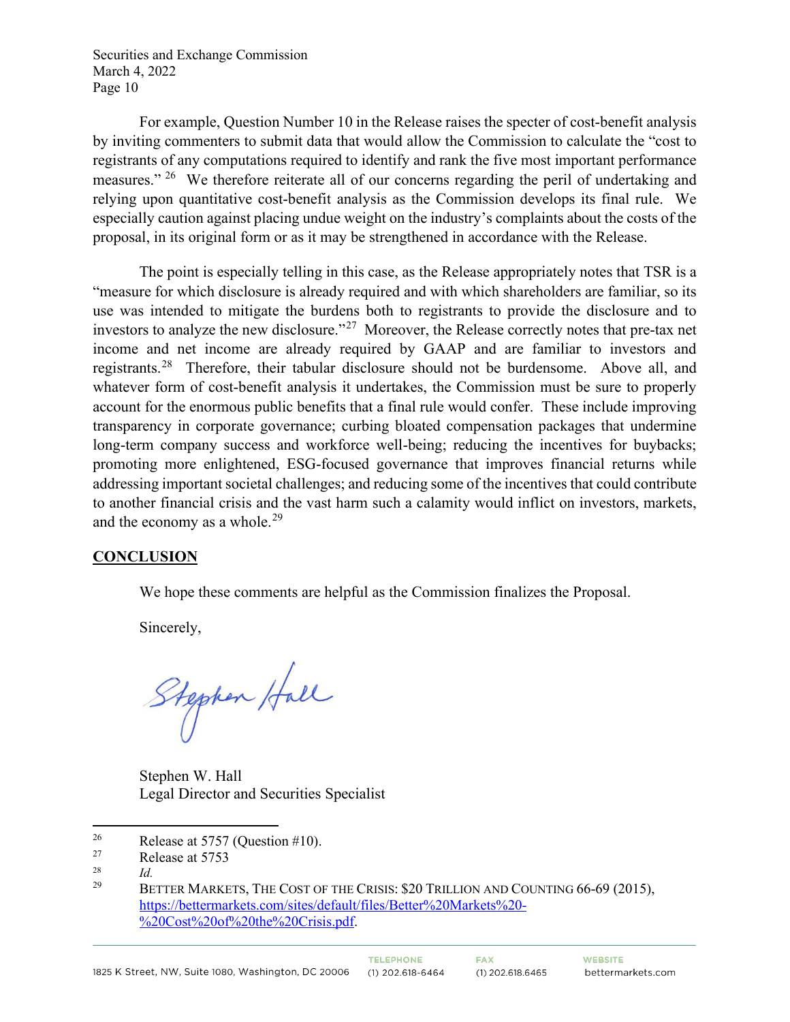For example, Question Number 10 in the Release raises the specter of cost-benefit analysis by inviting commenters to submit data that would allow the Commission to calculate the "cost to registrants of any computations required to identify and rank the five most important performance measures." <sup>[26](#page-9-0)</sup> We therefore reiterate all of our concerns regarding the peril of undertaking and relying upon quantitative cost-benefit analysis as the Commission develops its final rule. We especially caution against placing undue weight on the industry's complaints about the costs of the proposal, in its original form or as it may be strengthened in accordance with the Release.

The point is especially telling in this case, as the Release appropriately notes that TSR is a "measure for which disclosure is already required and with which shareholders are familiar, so its use was intended to mitigate the burdens both to registrants to provide the disclosure and to investors to analyze the new disclosure."<sup>27</sup> Moreover, the Release correctly notes that pre-tax net income and net income are already required by GAAP and are familiar to investors and registrants.[28](#page-9-2) Therefore, their tabular disclosure should not be burdensome. Above all, and whatever form of cost-benefit analysis it undertakes, the Commission must be sure to properly account for the enormous public benefits that a final rule would confer. These include improving transparency in corporate governance; curbing bloated compensation packages that undermine long-term company success and workforce well-being; reducing the incentives for buybacks; promoting more enlightened, ESG-focused governance that improves financial returns while addressing important societal challenges; and reducing some of the incentives that could contribute to another financial crisis and the vast harm such a calamity would inflict on investors, markets, and the economy as a whole. $29$ 

### **CONCLUSION**

We hope these comments are helpful as the Commission finalizes the Proposal.

Sincerely,

Stephen Hall

Stephen W. Hall Legal Director and Securities Specialist

<span id="page-9-0"></span><sup>26</sup><br>Release at 5757 (Question #10).<br>Release at 5753

<span id="page-9-1"></span> $R$ elease at 5753

<span id="page-9-3"></span><span id="page-9-2"></span> $\frac{28}{29}$  *Id.* 

<sup>29</sup> BETTER MARKETS, THE COST OF THE CRISIS: \$20 TRILLION AND COUNTING 66-69 (2015), [https://bettermarkets.com/sites/default/files/Better%20Markets%20-](https://bettermarkets.com/sites/default/files/Better%20Markets%20-%20Cost%20of%20the%20Crisis.pdf) [%20Cost%20of%20the%20Crisis.pdf.](https://bettermarkets.com/sites/default/files/Better%20Markets%20-%20Cost%20of%20the%20Crisis.pdf)